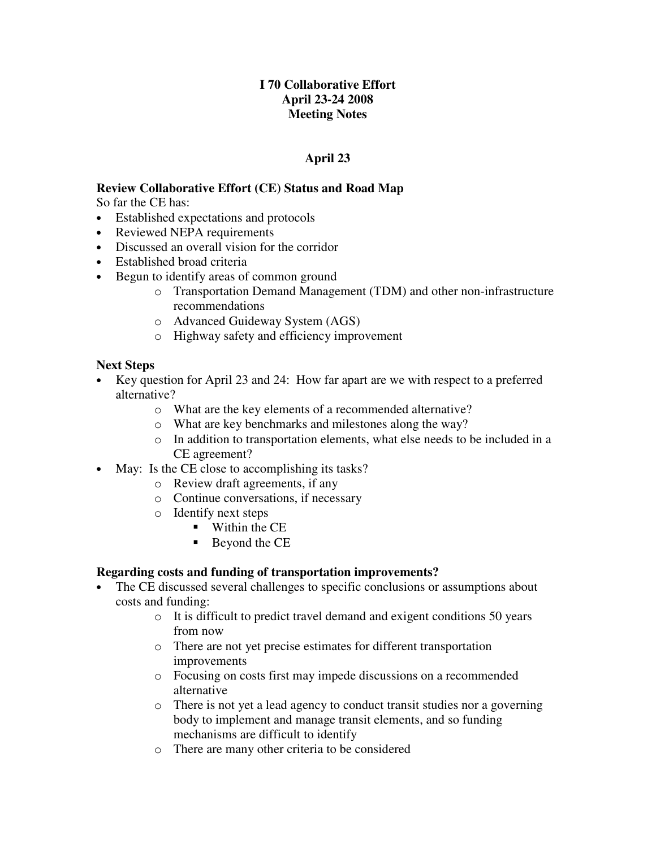# **I 70 Collaborative Effort April 23-24 2008 Meeting Notes**

# **April 23**

# **Review Collaborative Effort (CE) Status and Road Map**

So far the CE has:

- Established expectations and protocols
- Reviewed NEPA requirements
- Discussed an overall vision for the corridor
- Established broad criteria
- Begun to identify areas of common ground
	- o Transportation Demand Management (TDM) and other non-infrastructure recommendations
	- o Advanced Guideway System (AGS)
	- o Highway safety and efficiency improvement

# **Next Steps**

- Key question for April 23 and 24: How far apart are we with respect to a preferred alternative?
	- o What are the key elements of a recommended alternative?
	- o What are key benchmarks and milestones along the way?
	- o In addition to transportation elements, what else needs to be included in a CE agreement?
- May: Is the CE close to accomplishing its tasks?
	- o Review draft agreements, if any
	- o Continue conversations, if necessary
	- o Identify next steps
		- **Within the CE**
		- Beyond the CE

# **Regarding costs and funding of transportation improvements?**

- The CE discussed several challenges to specific conclusions or assumptions about costs and funding:
	- o It is difficult to predict travel demand and exigent conditions 50 years from now
	- o There are not yet precise estimates for different transportation improvements
	- o Focusing on costs first may impede discussions on a recommended alternative
	- o There is not yet a lead agency to conduct transit studies nor a governing body to implement and manage transit elements, and so funding mechanisms are difficult to identify
	- o There are many other criteria to be considered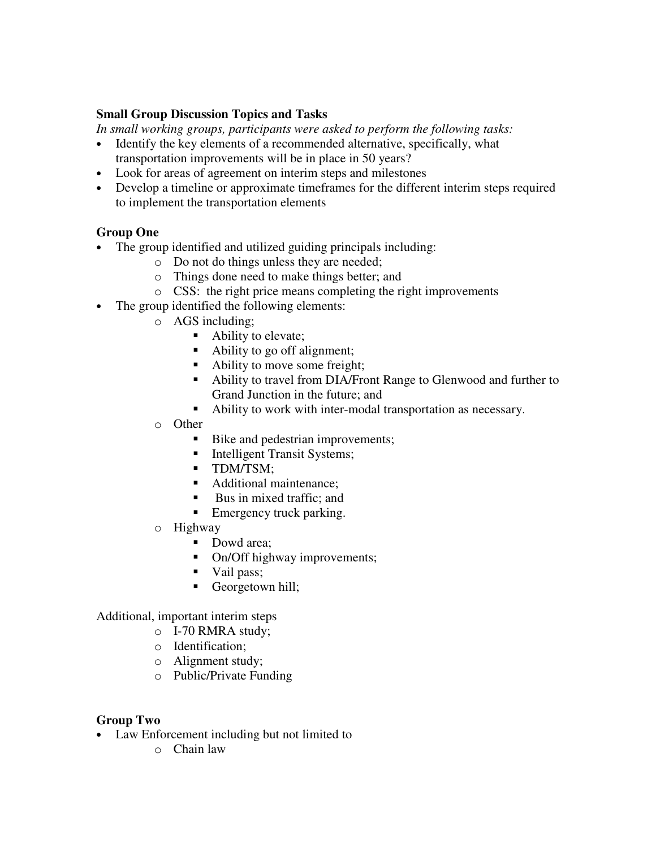### **Small Group Discussion Topics and Tasks**

*In small working groups, participants were asked to perform the following tasks:*

- Identify the key elements of a recommended alternative, specifically, what transportation improvements will be in place in 50 years?
- Look for areas of agreement on interim steps and milestones
- Develop a timeline or approximate timeframes for the different interim steps required to implement the transportation elements

### **Group One**

- The group identified and utilized guiding principals including:
	- o Do not do things unless they are needed;
	- o Things done need to make things better; and
	- o CSS: the right price means completing the right improvements
- The group identified the following elements:
	- o AGS including;
		- Ability to elevate;
		- Ability to go off alignment;
		- Ability to move some freight;
		- Ability to travel from DIA/Front Range to Glenwood and further to Grand Junction in the future; and
		- Ability to work with inter-modal transportation as necessary.
	- o Other
		- Bike and pedestrian improvements;
		- Intelligent Transit Systems;
		- **TDM/TSM:**
		- Additional maintenance:
		- Bus in mixed traffic; and
		- Emergency truck parking.
	- o Highway
		- Dowd area;
		- On/Off highway improvements;
		- Vail pass;
		- Georgetown hill;

Additional, important interim steps

- o I-70 RMRA study;
- o Identification;
- o Alignment study;
- o Public/Private Funding

#### **Group Two**

- Law Enforcement including but not limited to
	- o Chain law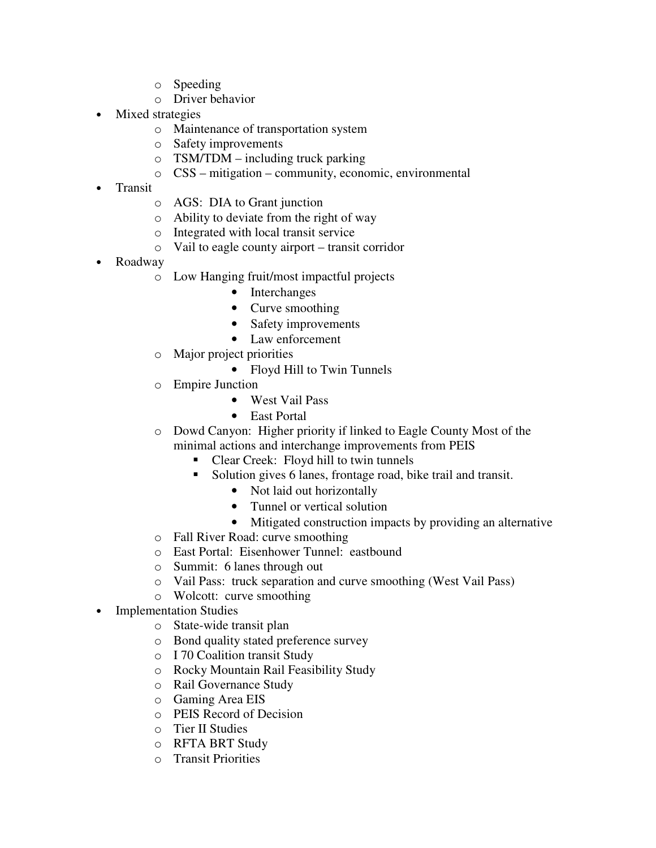- o Speeding
- o Driver behavior
- Mixed strategies
	- o Maintenance of transportation system
	- o Safety improvements
	- $\circ$  TSM/TDM including truck parking
	- o CSS mitigation community, economic, environmental
- Transit
	- o AGS: DIA to Grant junction
	- o Ability to deviate from the right of way
	- o Integrated with local transit service
	- o Vail to eagle county airport transit corridor
- Roadway
	- o Low Hanging fruit/most impactful projects
		- Interchanges
		- Curve smoothing
		- Safety improvements
		- Law enforcement
	- o Major project priorities
		- Floyd Hill to Twin Tunnels
	- o Empire Junction
		- West Vail Pass
		- East Portal
	- o Dowd Canyon: Higher priority if linked to Eagle County Most of the minimal actions and interchange improvements from PEIS
		- Clear Creek: Floyd hill to twin tunnels
		- Solution gives 6 lanes, frontage road, bike trail and transit.
			- Not laid out horizontally
			- Tunnel or vertical solution
			- Mitigated construction impacts by providing an alternative
	- o Fall River Road: curve smoothing
	- o East Portal: Eisenhower Tunnel: eastbound
	- o Summit: 6 lanes through out
	- o Vail Pass: truck separation and curve smoothing (West Vail Pass)
	- o Wolcott: curve smoothing
- Implementation Studies
	- o State-wide transit plan
	- o Bond quality stated preference survey
	- o I 70 Coalition transit Study
	- o Rocky Mountain Rail Feasibility Study
	- o Rail Governance Study
	- o Gaming Area EIS
	- o PEIS Record of Decision
	- o Tier II Studies
	- o RFTA BRT Study
	- o Transit Priorities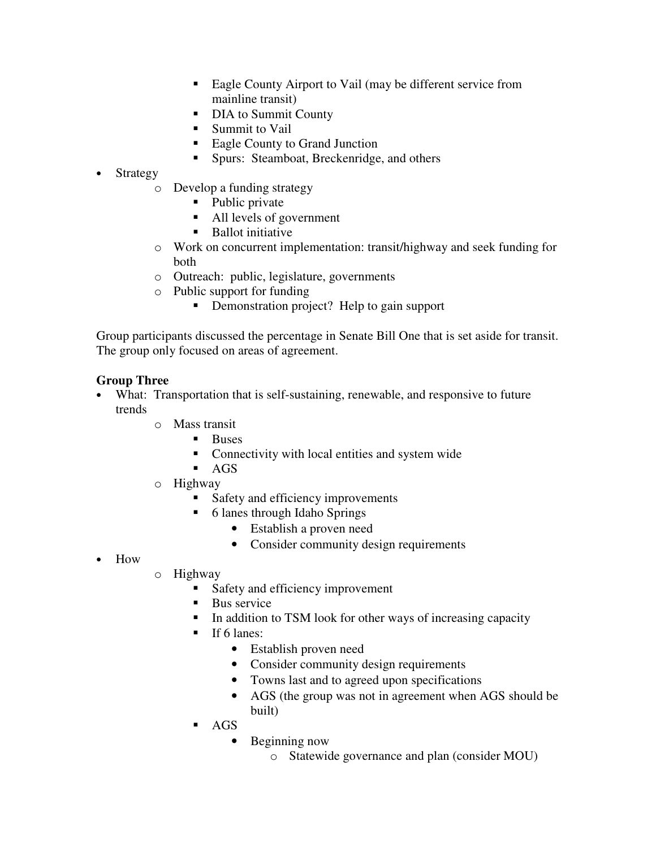- Eagle County Airport to Vail (may be different service from mainline transit)
- DIA to Summit County
- **Summit to Vail**
- Eagle County to Grand Junction
- **Spurs: Steamboat, Breckenridge, and others**
- **Strategy** 
	- o Develop a funding strategy
		- Public private
		- All levels of government
		- **Ballot initiative**
	- o Work on concurrent implementation: transit/highway and seek funding for both
	- o Outreach: public, legislature, governments
	- o Public support for funding
		- Demonstration project? Help to gain support

Group participants discussed the percentage in Senate Bill One that is set aside for transit. The group only focused on areas of agreement.

# **Group Three**

- What: Transportation that is self-sustaining, renewable, and responsive to future trends
	- o Mass transit
		- **Buses**
		- Connectivity with local entities and system wide
		- $AGS$
	- o Highway
		- Safety and efficiency improvements
		- 6 lanes through Idaho Springs
			- Establish a proven need
			- Consider community design requirements
- How
- o Highway
	- Safety and efficiency improvement
	- **Bus service**
	- In addition to TSM look for other ways of increasing capacity
	- $\blacksquare$  If 6 lanes:
		- Establish proven need
		- Consider community design requirements
		- Towns last and to agreed upon specifications
		- AGS (the group was not in agreement when AGS should be built)
	- AGS
		- Beginning now
			- o Statewide governance and plan (consider MOU)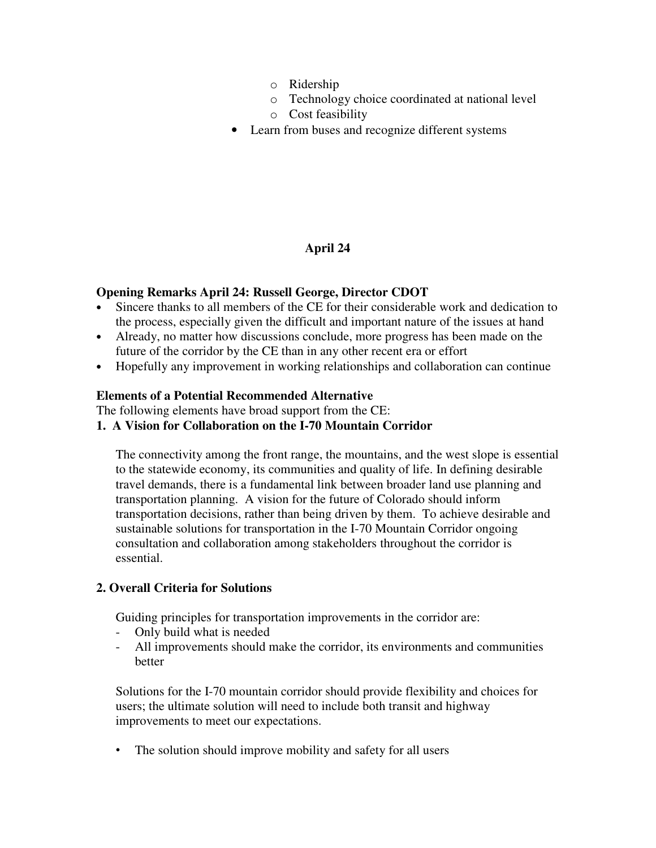- o Ridership
- o Technology choice coordinated at national level
- o Cost feasibility
- Learn from buses and recognize different systems

# **April 24**

### **Opening Remarks April 24: Russell George, Director CDOT**

- Sincere thanks to all members of the CE for their considerable work and dedication to the process, especially given the difficult and important nature of the issues at hand
- Already, no matter how discussions conclude, more progress has been made on the future of the corridor by the CE than in any other recent era or effort
- Hopefully any improvement in working relationships and collaboration can continue

#### **Elements of a Potential Recommended Alternative**

The following elements have broad support from the CE:

#### **1. A Vision for Collaboration on the I-70 Mountain Corridor**

The connectivity among the front range, the mountains, and the west slope is essential to the statewide economy, its communities and quality of life. In defining desirable travel demands, there is a fundamental link between broader land use planning and transportation planning. A vision for the future of Colorado should inform transportation decisions, rather than being driven by them. To achieve desirable and sustainable solutions for transportation in the I-70 Mountain Corridor ongoing consultation and collaboration among stakeholders throughout the corridor is essential.

#### **2. Overall Criteria for Solutions**

Guiding principles for transportation improvements in the corridor are:

- Only build what is needed
- All improvements should make the corridor, its environments and communities better

Solutions for the I-70 mountain corridor should provide flexibility and choices for users; the ultimate solution will need to include both transit and highway improvements to meet our expectations.

• The solution should improve mobility and safety for all users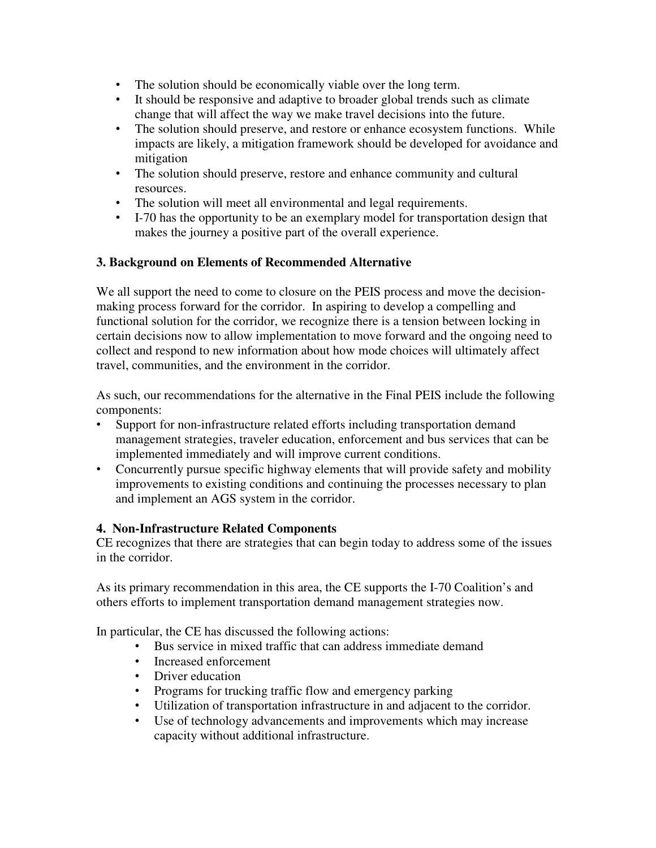- The solution should be economically viable over the long term.
- It should be responsive and adaptive to broader global trends such as climate change that will affect the way we make travel decisions into the future.
- The solution should preserve, and restore or enhance ecosystem functions. While impacts are likely, a mitigation framework should be developed for avoidance and mitigation
- The solution should preserve, restore and enhance community and cultural resources.
- The solution will meet all environmental and legal requirements.
- I-70 has the opportunity to be an exemplary model for transportation design that makes the journey a positive part of the overall experience.

### **3. Background on Elements of Recommended Alternative**

We all support the need to come to closure on the PEIS process and move the decisionmaking process forward for the corridor. In aspiring to develop a compelling and functional solution for the corridor, we recognize there is a tension between locking in certain decisions now to allow implementation to move forward and the ongoing need to collect and respond to new information about how mode choices will ultimately affect travel, communities, and the environment in the corridor.

As such, our recommendations for the alternative in the Final PEIS include the following components:

- Support for non-infrastructure related efforts including transportation demand management strategies, traveler education, enforcement and bus services that can be implemented immediately and will improve current conditions.
- Concurrently pursue specific highway elements that will provide safety and mobility improvements to existing conditions and continuing the processes necessary to plan and implement an AGS system in the corridor.

#### **4. Non-Infrastructure Related Components**

CE recognizes that there are strategies that can begin today to address some of the issues in the corridor.

As its primary recommendation in this area, the CE supports the I-70 Coalition's and others efforts to implement transportation demand management strategies now.

In particular, the CE has discussed the following actions:

- Bus service in mixed traffic that can address immediate demand
- Increased enforcement
- Driver education
- Programs for trucking traffic flow and emergency parking
- Utilization of transportation infrastructure in and adjacent to the corridor.
- Use of technology advancements and improvements which may increase capacity without additional infrastructure.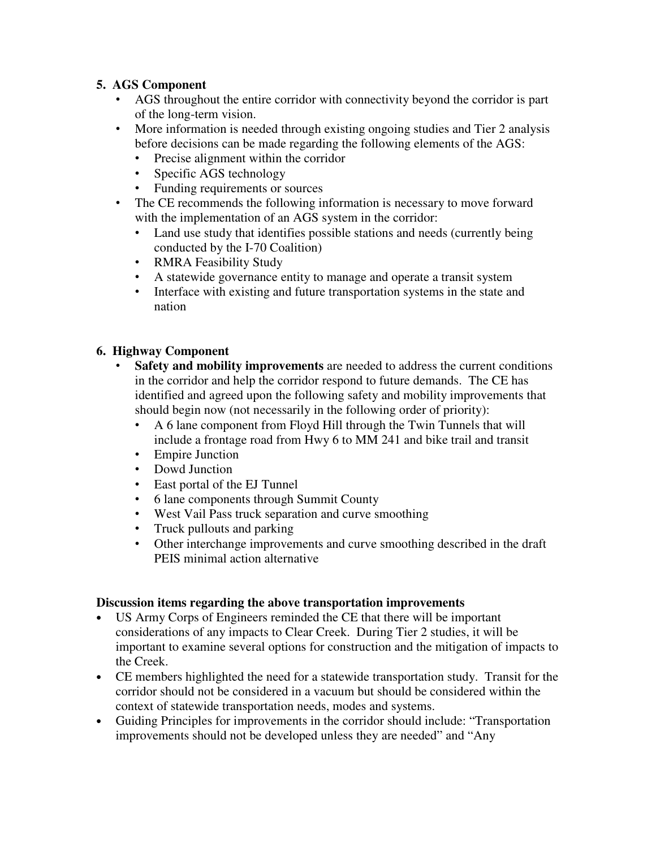# **5. AGS Component**

- AGS throughout the entire corridor with connectivity beyond the corridor is part of the long-term vision.
- More information is needed through existing ongoing studies and Tier 2 analysis before decisions can be made regarding the following elements of the AGS:
	- Precise alignment within the corridor
	- Specific AGS technology
	- Funding requirements or sources
- The CE recommends the following information is necessary to move forward with the implementation of an AGS system in the corridor:
	- Land use study that identifies possible stations and needs (currently being conducted by the I-70 Coalition)
	- RMRA Feasibility Study
	- A statewide governance entity to manage and operate a transit system
	- Interface with existing and future transportation systems in the state and nation

# **6. Highway Component**

- **Safety and mobility improvements** are needed to address the current conditions in the corridor and help the corridor respond to future demands. The CE has identified and agreed upon the following safety and mobility improvements that should begin now (not necessarily in the following order of priority):
	- A 6 lane component from Floyd Hill through the Twin Tunnels that will include a frontage road from Hwy 6 to MM 241 and bike trail and transit
	- Empire Junction
	- Dowd Junction
	-
	- East portal of the EJ Tunnel<br>• 6 Iane components through S • 6 lane components through Summit County
	- West Vail Pass truck separation and curve smoothing
	- Truck pullouts and parking
	- Other interchange improvements and curve smoothing described in the draft PEIS minimal action alternative

# **Discussion items regarding the above transportation improvements**

- US Army Corps of Engineers reminded the CE that there will be important considerations of any impacts to Clear Creek. During Tier 2 studies, it will be important to examine several options for construction and the mitigation of impacts to the Creek.
- CE members highlighted the need for a statewide transportation study. Transit for the corridor should not be considered in a vacuum but should be considered within the context of statewide transportation needs, modes and systems.
- Guiding Principles for improvements in the corridor should include: "Transportation improvements should not be developed unless they are needed" and "Any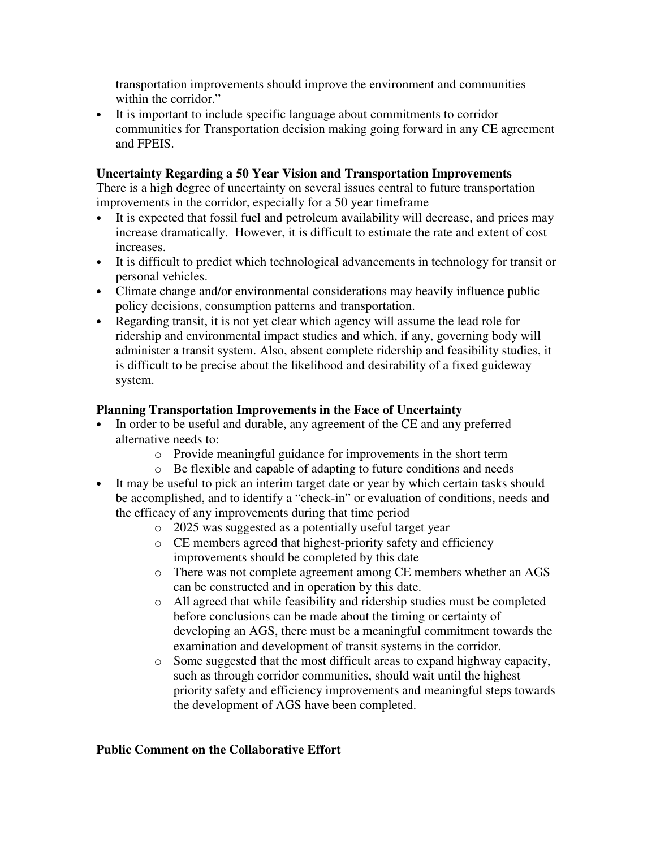transportation improvements should improve the environment and communities within the corridor."

• It is important to include specific language about commitments to corridor communities for Transportation decision making going forward in any CE agreement and FPEIS.

### **Uncertainty Regarding a 50 Year Vision and Transportation Improvements**

There is a high degree of uncertainty on several issues central to future transportation improvements in the corridor, especially for a 50 year timeframe

- It is expected that fossil fuel and petroleum availability will decrease, and prices may increase dramatically. However, it is difficult to estimate the rate and extent of cost increases.
- It is difficult to predict which technological advancements in technology for transit or personal vehicles.
- Climate change and/or environmental considerations may heavily influence public policy decisions, consumption patterns and transportation.
- Regarding transit, it is not yet clear which agency will assume the lead role for ridership and environmental impact studies and which, if any, governing body will administer a transit system. Also, absent complete ridership and feasibility studies, it is difficult to be precise about the likelihood and desirability of a fixed guideway system.

# **Planning Transportation Improvements in the Face of Uncertainty**

- In order to be useful and durable, any agreement of the CE and any preferred alternative needs to:
	- o Provide meaningful guidance for improvements in the short term
	- o Be flexible and capable of adapting to future conditions and needs
- It may be useful to pick an interim target date or year by which certain tasks should be accomplished, and to identify a "check-in" or evaluation of conditions, needs and the efficacy of any improvements during that time period
	- o 2025 was suggested as a potentially useful target year
	- o CE members agreed that highest-priority safety and efficiency improvements should be completed by this date
	- o There was not complete agreement among CE members whether an AGS can be constructed and in operation by this date.
	- o All agreed that while feasibility and ridership studies must be completed before conclusions can be made about the timing or certainty of developing an AGS, there must be a meaningful commitment towards the examination and development of transit systems in the corridor.
	- o Some suggested that the most difficult areas to expand highway capacity, such as through corridor communities, should wait until the highest priority safety and efficiency improvements and meaningful steps towards the development of AGS have been completed.

#### **Public Comment on the Collaborative Effort**